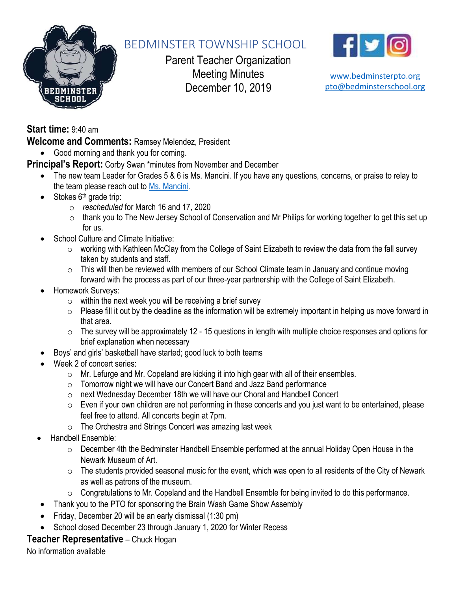

# BEDMINSTER TOWNSHIP SCHOOL

Parent Teacher Organization Meeting Minutes December 10, 2019



[www.bedminsterpto.org](http://www.bedminsterpto.org/) [pto@bedminsterschool.org](mailto:pto@bedminsterschool.org)

**Start time:** 9:40 am

**Welcome and Comments:** Ramsey Melendez, President

• Good morning and thank you for coming.

**Principal's Report:** Corby Swan \*minutes from November and December

- The new team Leader for Grades 5 & 6 is Ms. Mancini. If you have any questions, concerns, or praise to relay to the team please reach out to [Ms. Mancini.](mailto:nmancini@bedminsterschool.org)
- $\bullet$  Stokes  $6<sup>th</sup>$  grade trip:
	- o *rescheduled* for March 16 and 17, 2020
	- o thank you to The New Jersey School of Conservation and Mr Philips for working together to get this set up for us.
- School Culture and Climate Initiative:
	- o working with Kathleen McClay from the College of Saint Elizabeth to review the data from the fall survey taken by students and staff.
	- $\circ$  This will then be reviewed with members of our School Climate team in January and continue moving forward with the process as part of our three-year partnership with the College of Saint Elizabeth.
- Homework Surveys:
	- $\circ$  within the next week you will be receiving a brief survey
	- o Please fill it out by the deadline as the information will be extremely important in helping us move forward in that area.
	- $\circ$  The survey will be approximately 12 15 questions in length with multiple choice responses and options for brief explanation when necessary
- Boys' and girls' basketball have started; good luck to both teams
- Week 2 of concert series:
	- o Mr. Lefurge and Mr. Copeland are kicking it into high gear with all of their ensembles.
	- o Tomorrow night we will have our Concert Band and Jazz Band performance
	- o next Wednesday December 18th we will have our Choral and Handbell Concert
	- $\circ$  Even if your own children are not performing in these concerts and you just want to be entertained, please feel free to attend. All concerts begin at 7pm.
	- o The Orchestra and Strings Concert was amazing last week
- Handbell Ensemble:
	- o December 4th the Bedminster Handbell Ensemble performed at the annual Holiday Open House in the Newark Museum of Art.
	- $\circ$  The students provided seasonal music for the event, which was open to all residents of the City of Newark as well as patrons of the museum.
	- o Congratulations to Mr. Copeland and the Handbell Ensemble for being invited to do this performance.
- Thank you to the PTO for sponsoring the Brain Wash Game Show Assembly
- Friday, December 20 will be an early dismissal (1:30 pm)
- School closed December 23 through January 1, 2020 for Winter Recess

### **Teacher Representative** – Chuck Hogan

No information available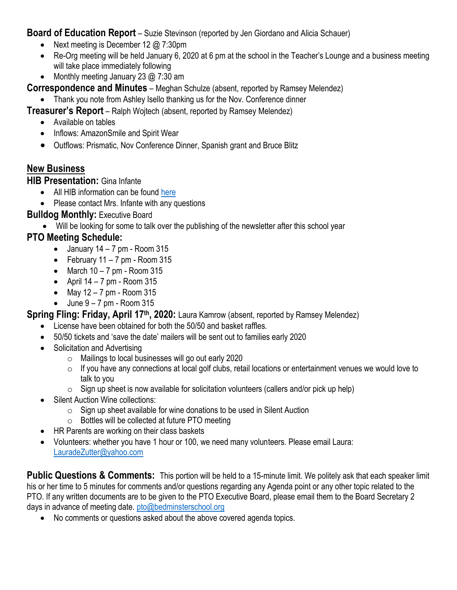**Board of Education Report** – Suzie Stevinson (reported by Jen Giordano and Alicia Schauer)

- Next meeting is December 12 @ 7:30pm
- Re-Org meeting will be held January 6, 2020 at 6 pm at the school in the Teacher's Lounge and a business meeting will take place immediately following
- Monthly meeting January 23 @ 7:30 am

**Correspondence and Minutes** – Meghan Schulze (absent, reported by Ramsey Melendez)

• Thank you note from Ashley Isello thanking us for the Nov. Conference dinner

**Treasurer's Report** – Ralph Wojtech (absent, reported by Ramsey Melendez)

- Available on tables
- Inflows: AmazonSmile and Spirit Wear
- Outflows: Prismatic, Nov Conference Dinner, Spanish grant and Bruce Blitz

## **New Business**

**HIB Presentation:** Gina Infante

- All HIB information can be found [here](https://www.bedminsterschool.org/Content2/66)
- Please contact Mrs. Infante with any questions

### **Bulldog Monthly:** Executive Board

• Will be looking for some to talk over the publishing of the newsletter after this school year

## **PTO Meeting Schedule:**

- January  $14 7$  pm Room  $315$
- February  $11 7$  pm Room  $315$
- March  $10 7$  pm Room  $315$
- April  $14 7$  pm Room  $315$
- May  $12 7$  pm Room  $315$
- $\bullet$  June  $9 7$  pm Room 315

### **Spring Fling: Friday, April 17<sup>th</sup>, 2020:** Laura Kamrow (absent, reported by Ramsey Melendez)

- License have been obtained for both the 50/50 and basket raffles.
- 50/50 tickets and 'save the date' mailers will be sent out to families early 2020
- Solicitation and Advertising
	- o Mailings to local businesses will go out early 2020
	- $\circ$  If you have any connections at local golf clubs, retail locations or entertainment venues we would love to talk to you
	- $\circ$  Sign up sheet is now available for solicitation volunteers (callers and/or pick up help)
- Silent Auction Wine collections:
	- o Sign up sheet available for wine donations to be used in Silent Auction
	- $\circ$  Bottles will be collected at future PTO meeting
- HR Parents are working on their class baskets
- Volunteers: whether you have 1 hour or 100, we need many volunteers. Please email Laura: [LauradeZutter@yahoo.com](mailto:LauradeZutter@yahoo.com)

**Public Questions & Comments:** This portion will be held to a 15-minute limit. We politely ask that each speaker limit his or her time to 5 minutes for comments and/or questions regarding any Agenda point or any other topic related to the PTO. If any written documents are to be given to the PTO Executive Board, please email them to the Board Secretary 2 days in advance of meeting date. [pto@bedminsterschool.org](mailto:pto@bedminsterschool.org)

• No comments or questions asked about the above covered agenda topics.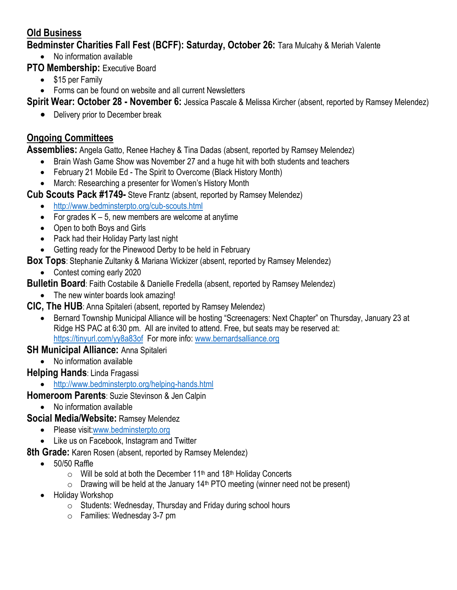### **Old Business**

**Bedminster Charities Fall Fest (BCFF): Saturday, October 26:** Tara Mulcahy & Meriah Valente

• No information available

**PTO Membership: Executive Board** 

- \$15 per Family
- Forms can be found on website and all current Newsletters

**Spirit Wear: October 28 - November 6:** Jessica Pascale & Melissa Kircher (absent, reported by Ramsey Melendez)

• Delivery prior to December break

### **Ongoing Committees**

**Assemblies:** Angela Gatto, Renee Hachey & Tina Dadas (absent, reported by Ramsey Melendez)

- Brain Wash Game Show was November 27 and a huge hit with both students and teachers
- February 21 Mobile Ed The Spirit to Overcome (Black History Month)
- March: Researching a presenter for Women's History Month
- **Cub Scouts Pack #1749-** Steve Frantz (absent, reported by Ramsey Melendez)
	- <http://www.bedminsterpto.org/cub-scouts.html>
	- For grades  $K 5$ , new members are welcome at anytime
	- Open to both Boys and Girls
	- Pack had their Holiday Party last night
	- Getting ready for the Pinewood Derby to be held in February
- **Box Tops**: Stephanie Zultanky & Mariana Wickizer (absent, reported by Ramsey Melendez)
	- Contest coming early 2020

**Bulletin Board**: Faith Costabile & Danielle Fredella (absent, reported by Ramsey Melendez)

- The new winter boards look amazing!
- **CIC, The HUB**: Anna Spitaleri (absent, reported by Ramsey Melendez)
	- Bernard Township Municipal Alliance will be hosting "Screenagers: Next Chapter" on Thursday, January 23 at Ridge HS PAC at 6:30 pm. All are invited to attend. Free, but seats may be reserved at: <https://tinyurl.com/yy8a83of>For more info: [www.bernardsalliance.org](http://www.bernardsalliance.org/)

### **SH Municipal Alliance:** Anna Spitaleri

• No information available

### **Helping Hands**: Linda Fragassi

• <http://www.bedminsterpto.org/helping-hands.html>

**Homeroom Parents**: Suzie Stevinson & Jen Calpin

• No information available

#### **Social Media/Website:** Ramsey Melendez

- Please visit[:www.bedminsterpto.org](http://www.bedminsterpto.org/)
- Like us on Facebook, Instagram and Twitter
- **8th Grade:** Karen Rosen (absent, reported by Ramsey Melendez)
	- 50/50 Raffle
		- $\circ$  Will be sold at both the December 11<sup>th</sup> and 18<sup>th</sup> Holiday Concerts
		- $\circ$  Drawing will be held at the January 14<sup>th</sup> PTO meeting (winner need not be present)
	- Holiday Workshop
		- o Students: Wednesday, Thursday and Friday during school hours
		- o Families: Wednesday 3-7 pm